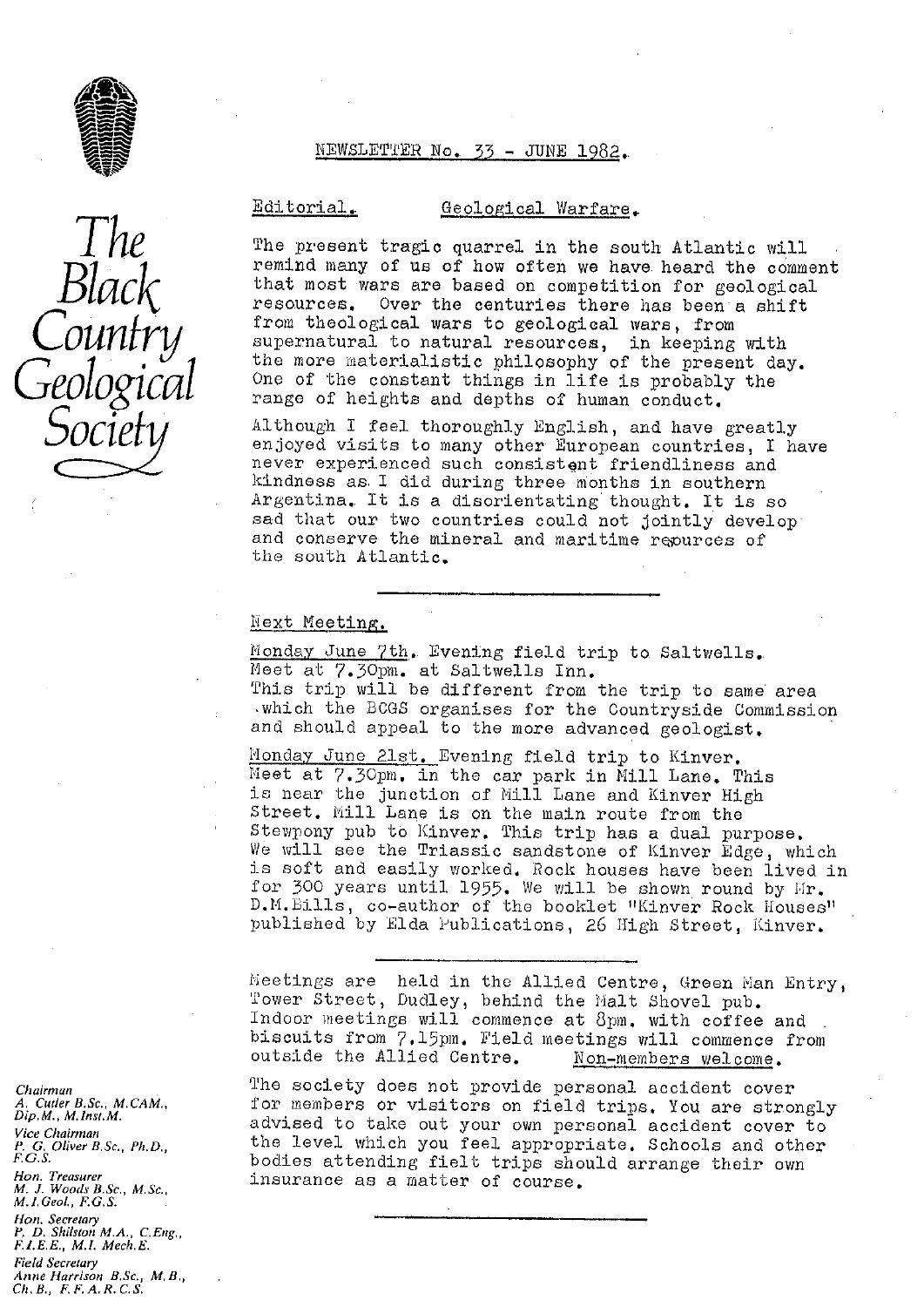

*The*

*Black*

*Country*

*Geological*

*Socie*

# NEWSLETTER loo. *33 -* JUNE l92,.

# Editorial. Geological Warfare.

The present tragic quarrel in the south Atlantic will remind many of us of how often we have heard the comment that most wars are based on competition for geological resources. Over the centuries there has been a shift from theological wars to geological wars, from supernatural to natural resources, in keeping with the more materialistic philosophy of the present day. One of the constant things in life is probably the range of heights and depths of human conduct,

Although I feel thoroughly English, and have greatly enjoyed visits to many other European countries, I have never experienced such consistgnt friendliness and kindness as I did during three months in southern Argentina. It is a disorientating' thought. It is so sad that our two countries could not jointly develop and conserve the mineral and maritime repurces of the south Atlantic.

# Next Meeting.

Monday June 7th. Evening field trip to Saltwells. Meet at 7.30pm. at Saltwells Inn. This trip will be different from the trip to same area ,which the BOGS organises for the Countryside Commission and should appeal to the more advanced geologist.

Monday June 21st. Evening *field* trip to Kinver. Meet at 7.30pm. in the car park in Mill Lane. This is near the junction of Mill Lane and Kinver High Street. Mill Lane is on the main route from the Stewpony pub to Kinver, This trip has a dual purpose. We will see the Triassic sandstone of Kinver Edge, which is soft and easily worked. Rock houses have been lived in for 300 years until 1955, We will be shown round by 11r. D.M. Bills, co-author of the booklet "Kinver Rock Houses" published by Elda Publications, 26 *High Street, i4:inver,*

Meetings are held in the Allied Centre, Green Man Entry Tower Street, Dudley, behind the Malt Shovel pub. Indoor meetings will commence at 8pm. with coffee and biscuits from 7.15pm. Field meetings will commence from outside the Allied Centre. Non-members welcome. outside the Allied Centre.

The society does not provide personal accident cover for members or visitors on field trips. You are strongly advised to take out your own personal accident cover to the level which you feel appropriate. Schools and other bodies attending fielt trips should arrange their own insurance as a matter of course.

*Chairman A, Cutler B.Sc., M. CAM., Dip. M., M.1nst.M. Vice Chairman P. G. Oliver B.Sc., Ph.D" F. G.S. Hon. Treasurer M. J. Woods B.Sc,, M. Sc. M. 1.Ceol., F.G.S. Hon. Secretary P. D. Shilston M.A., CEng,, F.J..E.E., M.I. Mech.E. Field Secretary Anne Harrison B,Sc., M, B,, Ch. B., F. F. A.R.C. S.*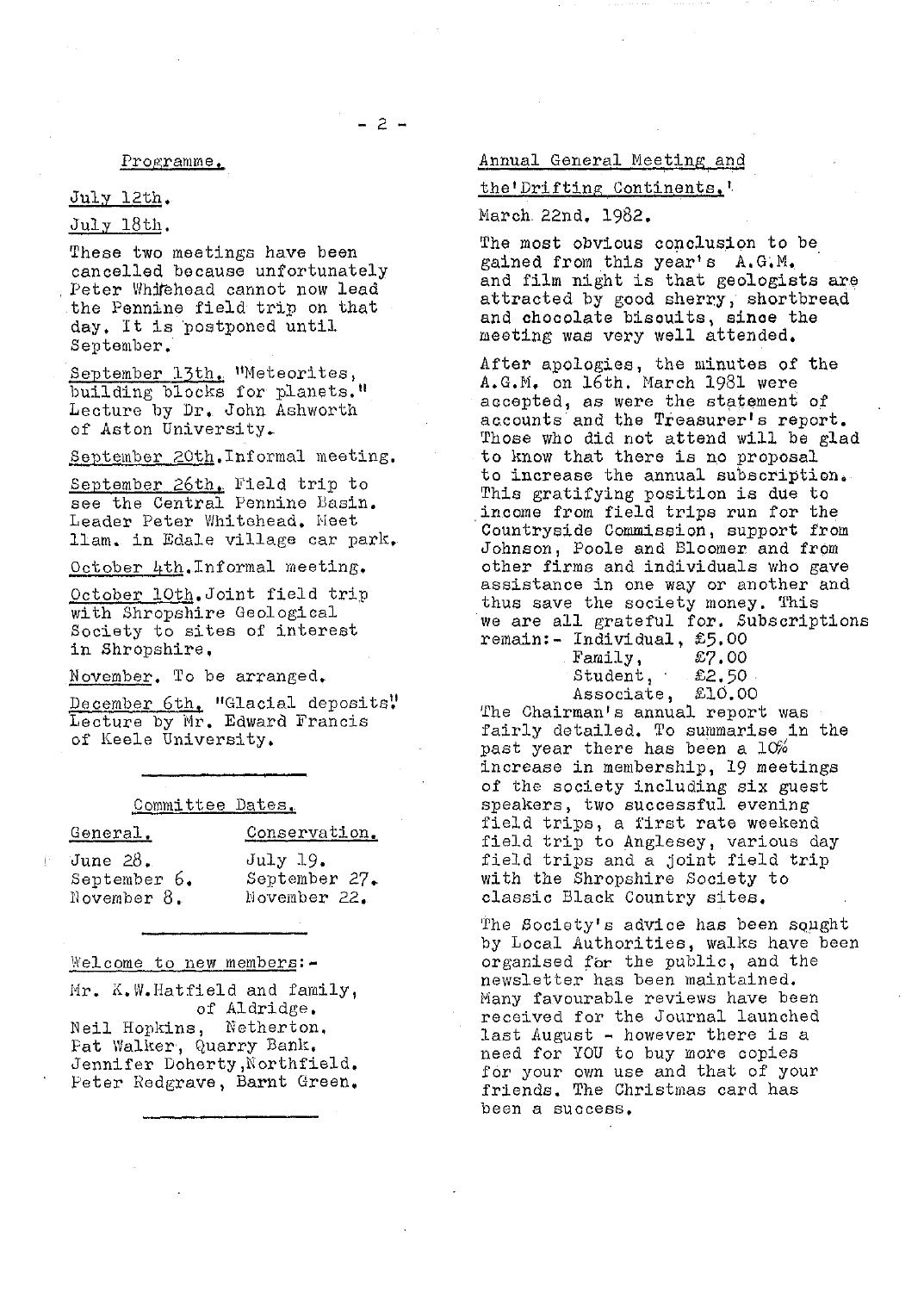# Programme.

# July 12th ..

# July 18th.

These two meetings have been cancelled because unfortunately Peter Whitehead cannot now lead the Pennine field trip on that day. It is 'postponed until September.

September 13th. "Meteorites, building blocks for planets." Lecture by Dr.. John Ashworth of Aston University.

September 20th. Informal meeting.

September 26th. Field trip to *see the Central* Pennine Basin. Leader Peter Whitehead. Meet .lam. in Edale village car park,

October 4th. Informal meeting.

October 10th.Joint field trip with Shropshire Geological Society to sites of interest in Shropshire.

November. To be arranged.

December 6th. "Glacial deposits! Lecture by Mr. Edward Francis of Keele University.

#### Committee Dates..

# General. Conservation.

June 28. July 19.<br>September 6. Septembel

September 6. September 27.<br>November 8. Movember 22. November 22.

# Welcome to new members: -

 $Mr.$  K.W. Hatfield and family, of Aldridge. Neil Hopkins, Netherton, Pat Walker, Quarry Bank. Jennifer Doherty ,Northfield.

Peter hodgrave, Barnt Green,

# Annual General Meeting and

# the'Driftins Continents '.

March. 22nd. 1982.

The most obvious conclusion to be gained from this year's A.G,M.. and film night is that geologists are attracted by good sherry, shortbread and chocolate bisouits, since the meeting was very well attended,

After apologies, the minutes of the A.G.M. on 16th. March 1981 were accepted, as were the statement of accounts and the Treasurer's report. Those who did not attend will be glad to know that there is no proposal to increase the annual subscription. This gratifying position is due to income from field trips run for the Countryside Commission, support from Johnson, Poole and Bloomer and from other firms and individuals who gave assistance in one way or another and thus save the society money. This we are all grateful for. Subscriptions remain:- Individual, £5.00

| Family,    | £7.00     |
|------------|-----------|
| Student,   | . £2,50 . |
| Associate, | £10.00    |
|            |           |

The Chairman's *annual report was* fairly detailed. To summarise in the past year there has been a  $10\%$ increase in membership, 19 meetings of the society including six guest speakers, two successful evening field trips, a first rate weekend field trip to Anglesey, various day field trips and a joint field trip with the Shropshire Society to classic Black Country sites.

The Society's advice has been squght by Local Authorities, walks have been organised for the public, and the newsletter has been maintained. Many favourable reviews have been received for the Journal launched last August - however there is a need for YOU to buy more copies for your own use and that of your friends. The Christmas card has been a success.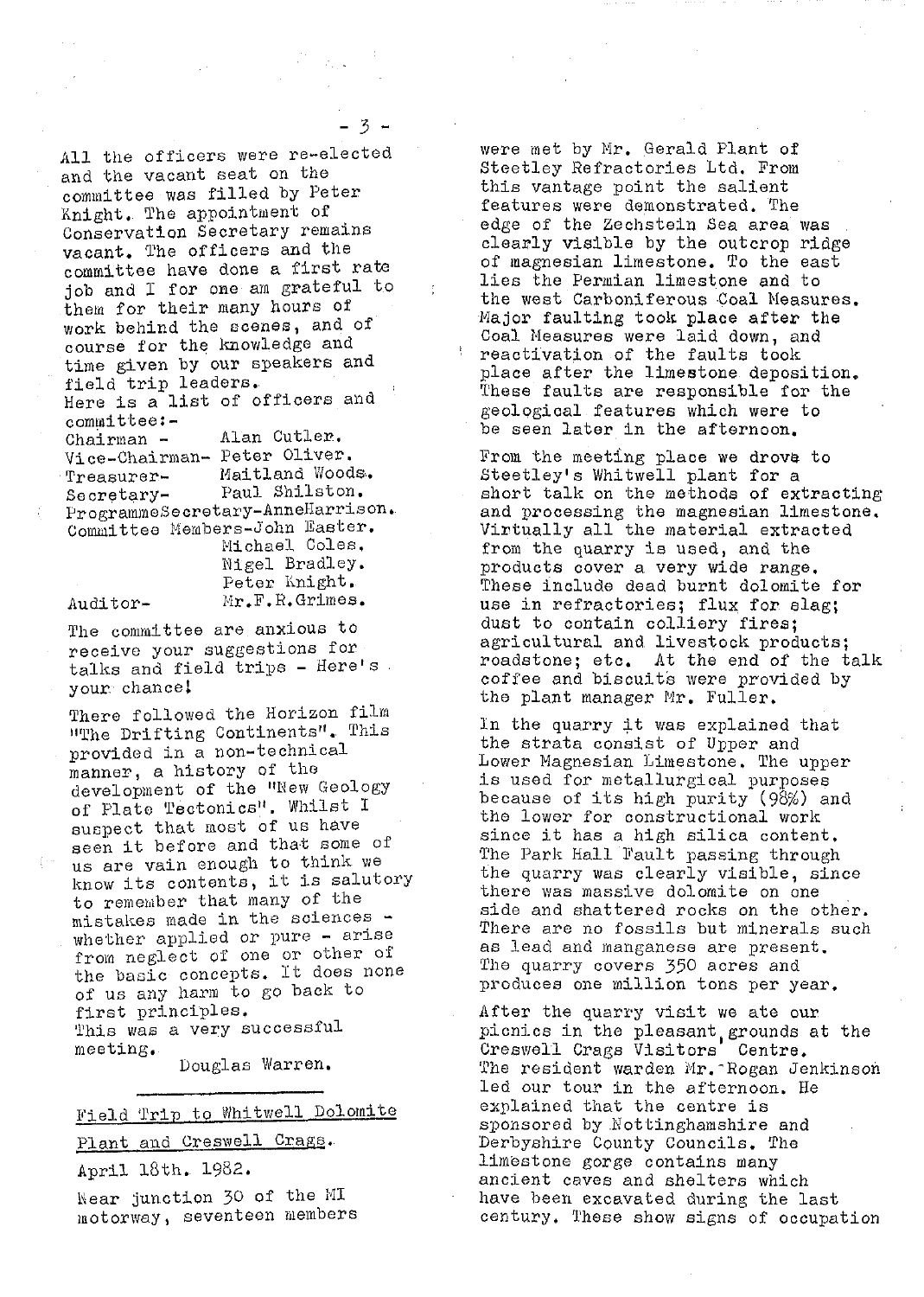All the officers were re-elected and the vacant *seat on the* committee was filled by Peter Knight.. The appointment of Conservation Secretary remains vacant. The officers and the committee have done a first rate job and I for one am grateful to them for their many hours of work behind the scenes, and of course for the knowledge and time given by our speakers and field trip leaders. *Here is a list of officers* and

*committee:-* Chairman - Alan Cutler. Vice-Chairman- Peter Oliver. Treasurer- Maitland Woods.<br>Secretary- Paul Shilston. Secretary- Paul Shilston. ProgrammeSecretary-AnneHarrison. Committee Members-John Easter. Michael Coles,

Nigel Bradley. Peter Knight, Auditor- Mr.F.R. Grimes. The committee are anxious to

*receive your* suggestions for talks and field trips - Here's your chance!

There followed the Horizon film "The Drifting Continents". This "The Drifting Continents".<br>
provided in a non-technical<br>
manner, a history of the<br>
development of the "New Geo<br>
of Plate Tectonics". Whilst<br>
suspect that most of US hay manner, a history of the development of the '"New Geology of Plate Tectonics". Whilst I suspect that most of us have seen it before and that some of us are vain enough to think we know its contents, it is salutory to remember that many of the mistakes made in the sciences whether applied or pure - arise from neglect of one or other of the basic concepts. It does none of us any harm to go back to first principles. This was a very successful meeting.

Douglas Warren.

# Field Trip to Whitwell Dolomite

Plant and Creswell Crags.

April 18th. 1982.

hear junction 30 of the MI motorway, seventeen members

were met by Mr. *Gerald Plant of Steetley Refractories* Ltd. From this vantage point the salient features were demonstrated. The edge of the Zechstein Sea area was clearly visible by the outcrop ridge of magnesian limestone. To the east lies the Permian limestone and to the west Carboniferous Coal Measures. Major faulting took place after the Coal Measures were laid down, and reactivation of the faults took place after the limestone. deposition. These faults are responsible for the geological features which were to be seen later in the afternoon.

From the meeting place we drove to Steetley's Whitwell plant for a short talk on the methods of extracting and processing the magnesian limestone. Virtually all the material *extracted* from the quarry is *used,* and the products cover a very wide range. These include dead burnt dolomite for *use in* refractories; flux for slag; dust to contain colliery fires; agricultural and livestock products; roadatone; etc. At the end of the talk coffee and biscuits were provided by the plant manager Mr. Fuller,

In the quarry it was explained that the strata consist of Upper and Lower Magnesian Limestone. The upper is used for metallurgical purposes because of its high purity (98%) and the lower for constructional work since it has a high silica content, The Park Hall Fault passing through the quarry was clearly visible, since there was massive dolomite on one side and shattered rocks on the other. There are no fossils but minerals such as lead and manganese are present. The quarry covers 350 acres and produces one million tons per year.

After the quarry visit we ate our picnics in the pleasant grounds at the Creswell Crags Visitors' Centre. The resident warden Mr. -Rogan Jenkinson led our tour in the afternoon. He explained that the centre is sponsored by .Nottinghamshire and Derbyshire County Councils. The limestone gorge contains many ancient caves and shelters which have been excavated during the last century. These show signs of occupation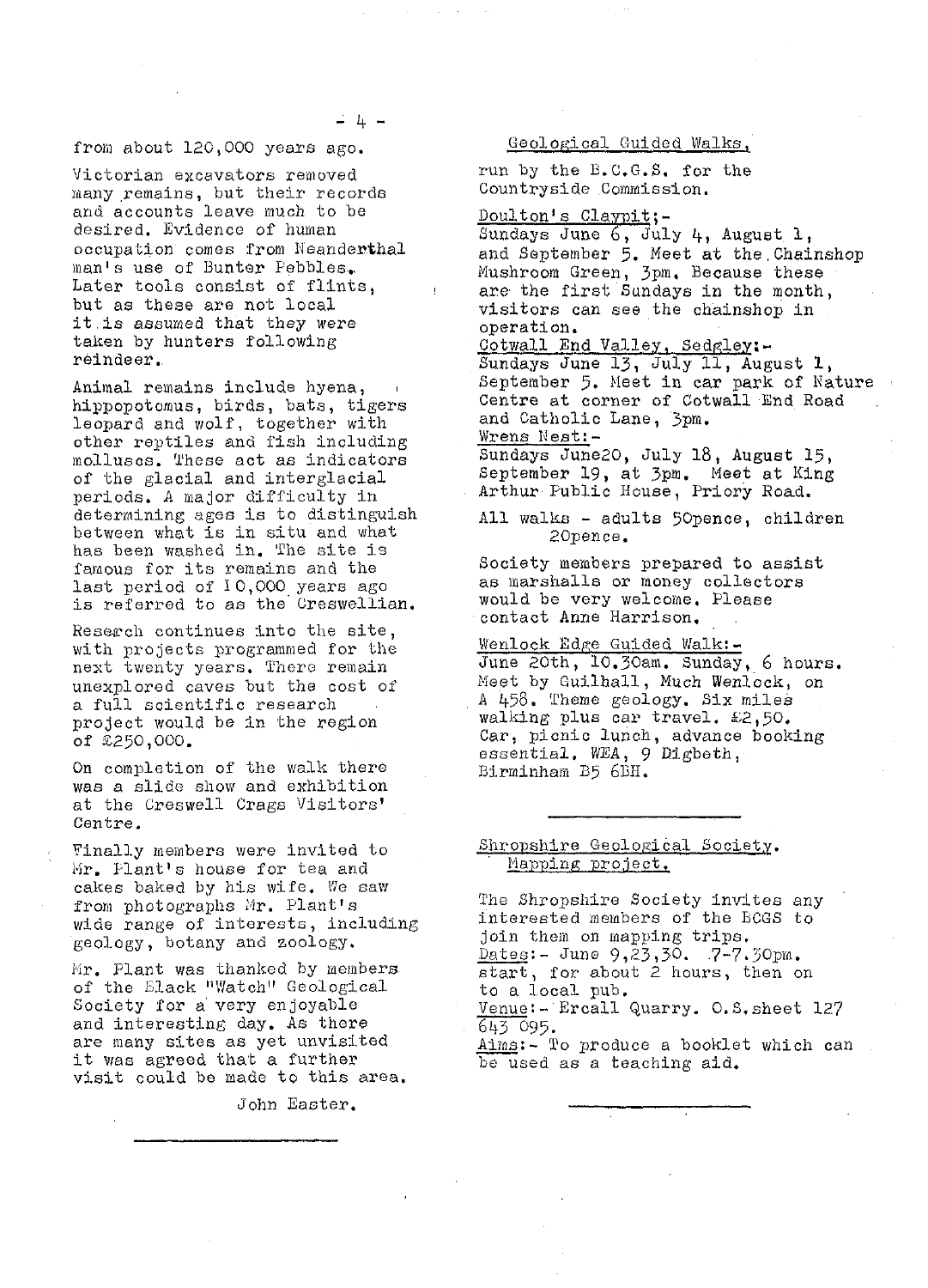# from about 120,000 years ago.

Victorian excavators removed many remains, but their records and accounts leave much to be desired. Evidence of human occupation comes from Neanderthal man's use of Bunter Pebbles.. Later tools consist of flints, but as these are not local it is assumed that they were taken by hunters following reindeer.

Animal remains include hyena, hippopotomus, birds, bats, tigers leopard and wolf, together with other reptiles and fish including molluscs. These act as indicators of the glacial and interglacial periods. A major difficulty in determining ages is to distinguish between what is in situ and what has been washed in. The site is famous for its remains and the last period of 10,000 years ago is referred to as the Gresweilian.

Reserch continues into the site, with projects programmed for the next twenty years. There remain unexplored caves but the cost of a full scientific research project would be in the region of  $2250,000$ .

On completion of the walk there was a slide show and exhibition at the Creswell Crags Visitors' Centre.

Finally members were invited to Mr. Plant's house for tea and cakes baked by his wife. We saw from photographs Mr. Plant's wide range of interests, including geology, botany and zoology.

*Hr, Plant was thanked* by members of the Slack "Watch" Geological Society for a very enjoyable and interesting day. As there are many sites as yet unvisited it was agreed that a further visit could be made to this area,

John Easter.

#### Geological Guided Walks,

run by the B.C.G.S. for the Countryside Commission.

Doulton's Claypit;-Sundays June  $6,$  July  $4,$  August 1,

and September 5. Meet at the , Chainshop Mushroom Green, 3pm. Because these are the first Sundays in the month, visitors can see the chainshop in operation.

Cotwall End Valley, Sedgley:-Sundays June 13, July 11, August 1, September 5. Meet in car park of *Nature* Centre at corner of Cotwall End Road and Catholic Lane, 3pm. Wrens Vest: --

Sundays June20, July 18, August 15, September 19, at 3pm. Meet at King Arthur Public House, Priory Road.

All walks - adults 50pence, children 2Opencc.

Society members prepared to assist as marshalls or money collectors would be very welcome, Please contact Anne Harrison.

<u>Wenlock Edge Guided Walk:-</u> June 20th, 10,3Oam. Sunday, 6 hours. Meet by Guilhall, Much Wenlock, on A 458. Theme geology. Six miles walking plus car travel. £2,50. Car, picnic lunch, advance booking essential. WEA, 9 Digbeth, Birminham B5 6BH.

# Shropshire Geological Society. Mapping project.

The Shropshire Society invites any interested members of the BCGS to join then on mapping trips.  $Dates: - June 9, 23, 30. 7-7.30pm.$ start, for. about 2 hours, then on to a local pub. Venue:- Ercall Quarry. O. S, sheet 127 643 095.

Aims:- To produce a booklet which can be used as a teaching aid.